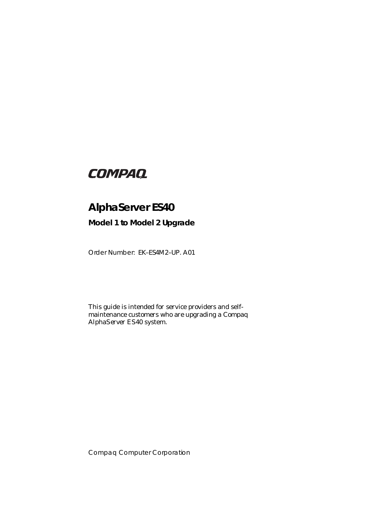# **COMPAQ**

# **AlphaServer ES40**

**Model 1 to Model 2 Upgrade**

Order Number: EK–ES4M2–UP. A01

This guide is intended for service providers and selfmaintenance customers who are upgrading a *Compaq AlphaServer* ES40 system.

Compaq Computer Corporation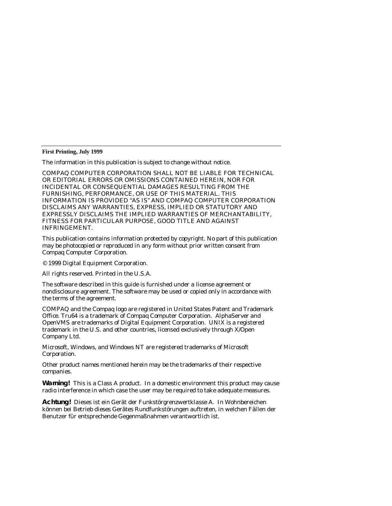**First Printing, July 1999**

The information in this publication is subject to change without notice.

COMPAQ COMPUTER CORPORATION SHALL NOT BE LIABLE FOR TECHNICAL OR EDITORIAL ERRORS OR OMISSIONS CONTAINED HEREIN, NOR FOR INCIDENTAL OR CONSEQUENTIAL DAMAGES RESULTING FROM THE FURNISHING, PERFORMANCE, OR USE OF THIS MATERIAL. THIS INFORMATION IS PROVIDED "AS IS" AND COMPAQ COMPUTER CORPORATION DISCLAIMS ANY WARRANTIES, EXPRESS, IMPLIED OR STATUTORY AND EXPRESSLY DISCLAIMS THE IMPLIED WARRANTIES OF MERCHANTABILITY, FITNESS FOR PARTICULAR PURPOSE, GOOD TITLE AND AGAINST INFRINGEMENT.

This publication contains information protected by copyright. No part of this publication may be photocopied or reproduced in any form without prior written consent from Compaq Computer Corporation.

© 1999 Digital Equipment Corporation.

All rights reserved. Printed in the U.S.A.

The software described in this guide is furnished under a license agreement or nondisclosure agreement. The software may be used or copied only in accordance with the terms of the agreement.

COMPAQ and the Compaq logo are registered in United States Patent and Trademark Office. Tru64 is a trademark of Compaq Computer Corporation. AlphaServer and OpenVMS are trademarks of Digital Equipment Corporation. UNIX is a registered trademark in the U.S. and other countries, licensed exclusively through X/Open Company Ltd.

Microsoft, Windows, and Windows NT are registered trademarks of Microsoft Corporation.

Other product names mentioned herein may be the trademarks of their respective companies.

**Warning!** This is a Class A product. In a domestic environment this product may cause radio interference in which case the user may be required to take adequate measures.

**Achtung!** Dieses ist ein Gerät der Funkstörgrenzwertklasse A. In Wohnbereichen können bei Betrieb dieses Gerätes Rundfunkstörungen auftreten, in welchen Fällen der Benutzer für entsprechende Gegenmaßnahmen verantwortlich ist.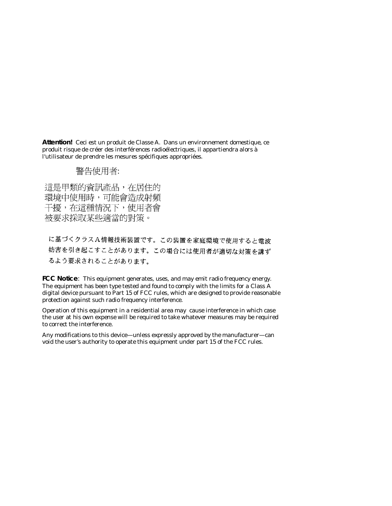**Attention!** Ceci est un produit de Classe A. Dans un environnement domestique, ce produit risque de créer des interférences radioélectriques, il appartiendra alors à l'utilisateur de prendre les mesures spécifiques appropriées.

## 警告使用者:

這是甲類的資訊產品,在居住的 環境中使用時,可能會造成射頻 干擾,在這種情況下,使用者會 被要求採取某些適當的對策。

に基づくクラスA情報技術装置です。この装置を家庭環境で使用すると電波 妨害を引き起こすことがあります。この場合には使用者が適切な対策を講ず るよう要求されることがあります。

**FCC Notice**: This equipment generates, uses, and may emit radio frequency energy. The equipment has been type tested and found to comply with the limits for a Class A digital device pursuant to Part 15 of FCC rules, which are designed to provide reasonable protection against such radio frequency interference.

Operation of this equipment in a residential area may cause interference in which case the user at his own expense will be required to take whatever measures may be required to correct the interference.

Any modifications to this device—unless expressly approved by the manufacturer—can void the user's authority to operate this equipment under part 15 of the FCC rules.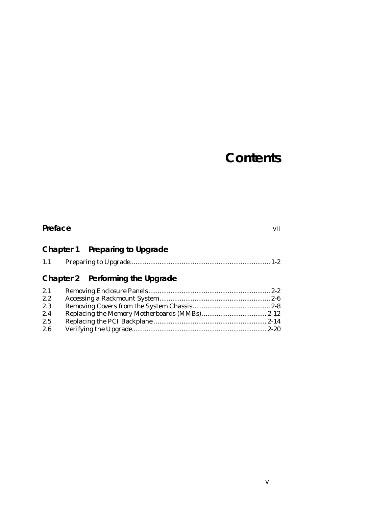# **Contents**

| Preface | vii                              |  |
|---------|----------------------------------|--|
|         | Chapter 1 Preparing to Upgrade   |  |
| 1.1     |                                  |  |
|         | Chapter 2 Performing the Upgrade |  |
| 2.1     |                                  |  |
| 2.2     |                                  |  |
| 2.3     |                                  |  |
| 2.4     |                                  |  |
| 2.5     |                                  |  |
| 2.6     |                                  |  |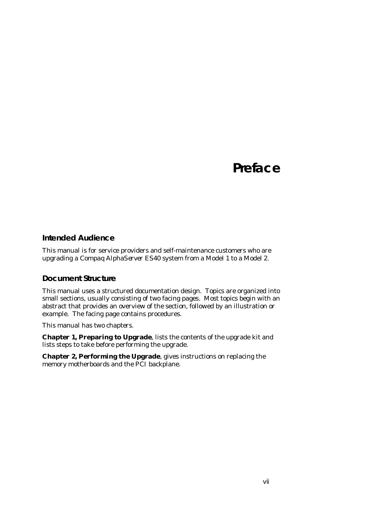# **Preface**

### **Intended Audience**

This manual is for service providers and self-maintenance customers who are upgrading a *Compaq AlphaServer* ES40 system from a Model 1 to a Model 2.

## **Document Structure**

This manual uses a structured documentation design. Topics are organized into small sections, usually consisting of two facing pages. Most topics begin with an abstract that provides an overview of the section, followed by an illustration or example. The facing page contains procedures.

This manual has two chapters.

**Chapter 1, Preparing to Upgrade**, lists the contents of the upgrade kit and lists steps to take before performing the upgrade.

**Chapter 2, Performing the Upgrade**, gives instructions on replacing the memory motherboards and the PCI backplane.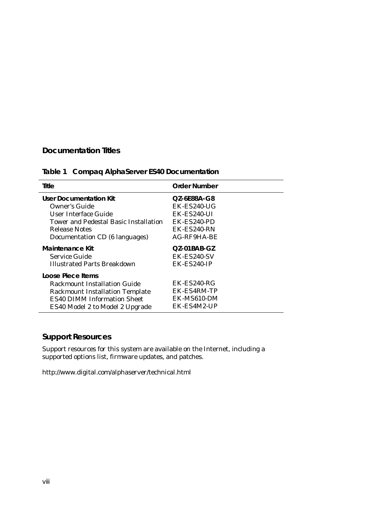## **Documentation Titles**

## **Table 1 Compaq AlphaServer ES40 Documentation**

| Title                                        | <b>Order Number</b>   |
|----------------------------------------------|-----------------------|
| User Documentation Kit                       | OZ-6E88A-G8           |
| Owner's Guide                                | $EK$ - $ES240$ -UG    |
| User Interface Guide                         | $EK$ - $ES240$ -UI    |
| <b>Tower and Pedestal Basic Installation</b> | EK-ES240-PD           |
| <b>Release Notes</b>                         | EK-ES240-RN           |
| Documentation CD (6 languages)               | $AG$ -RF9HA-BE        |
| Maintenance Kit                              | $OZ-01BAB-GZ$         |
| Service Guide                                | EK-ES240-SV           |
| <b>Illustrated Parts Breakdown</b>           | $EK$ - $ES$ 240- $IP$ |
| Loose Piece Items                            |                       |
| Rackmount Installation Guide                 | $EK$ - $ES$ 240- $RG$ |
| <b>Rackmount Installation Template</b>       | EK-ES4RM-TP           |
| <b>ES40 DIMM Information Sheet</b>           | EK-MS610-DM           |
| ES40 Model 2 to Model 2 Upgrade              | EK-ES4M2-UP           |

## **Support Resources**

Support resources for this system are available on the Internet, including a supported options list, firmware updates, and patches.

http://www.digital.com/alphaserver/technical.html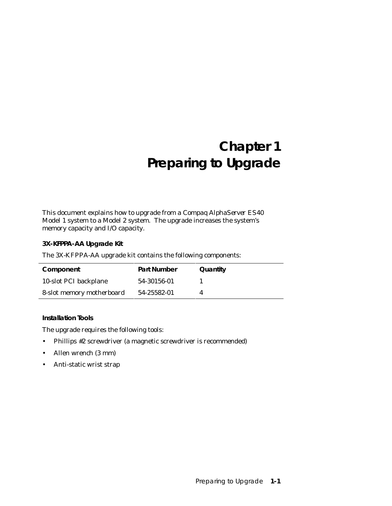# **Chapter 1 Preparing to Upgrade**

This document explains how to upgrade from a *Compaq AlphaServer ES40* Model 1 system to a Model 2 system. The upgrade increases the system's memory capacity and I/O capacity.

### **3X-KFPPA-AA Upgrade Kit**

The 3X-KFPPA-AA upgrade kit contains the following components:

| Component                 | <b>Part Number</b> | Quantity |
|---------------------------|--------------------|----------|
| 10-slot PCI backplane     | 54-30156-01        |          |
| 8-slot memory motherboard | 54-25582-01        |          |

**Installation Tools**

The upgrade requires the following tools:

- Phillips #2 screwdriver (a magnetic screwdriver is recommended)
- Allen wrench (3 mm)
- Anti-static wrist strap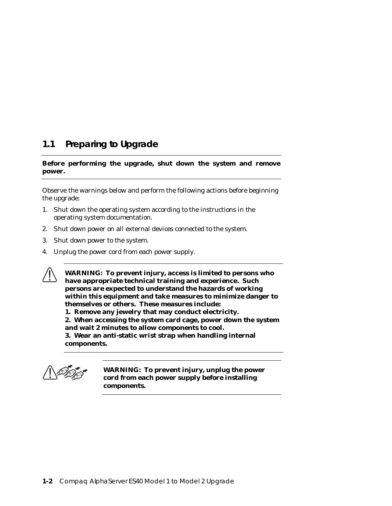## **1.1 Preparing to Upgrade**

### **Before performing the upgrade, shut down the system and remove power.**

Observe the warnings below and perform the following actions before beginning the upgrade:

- 1. Shut down the operating system according to the instructions in the operating system documentation.
- 2. Shut down power on all external devices connected to the system.
- 3. Shut down power to the system.
- 4. Unplug the power cord from each power supply.

**WARNING: To prevent injury, access is limited to persons who have appropriate technical training and experience. Such persons are expected to understand the hazards of working within this equipment and take measures to minimize danger to themselves or others. These measures include:**

**1. Remove any jewelry that may conduct electricity.**

**2. When accessing the system card cage, power down the system and wait 2 minutes to allow components to cool. 3. Wear an anti-static wrist strap when handling internal**

**components.**



**WARNING: To prevent injury, unplug the power cord from each power supply before installing components.**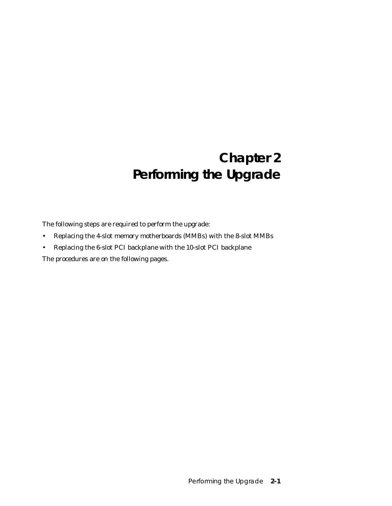# **Chapter 2 Performing the Upgrade**

The following steps are required to perform the upgrade:

- Replacing the 4-slot memory motherboards (MMBs) with the 8-slot MMBs
- Replacing the 6-slot PCI backplane with the 10-slot PCI backplane

The procedures are on the following pages.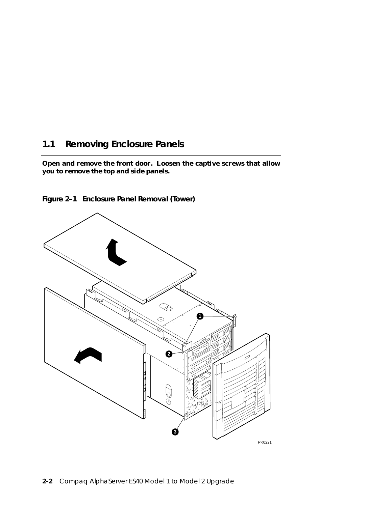## **1.1 Removing Enclosure Panels**

**Open and remove the front door. Loosen the captive screws that allow you to remove the top and side panels.**



**Figure 2–1 Enclosure Panel Removal (Tower)**

```
PK0221
```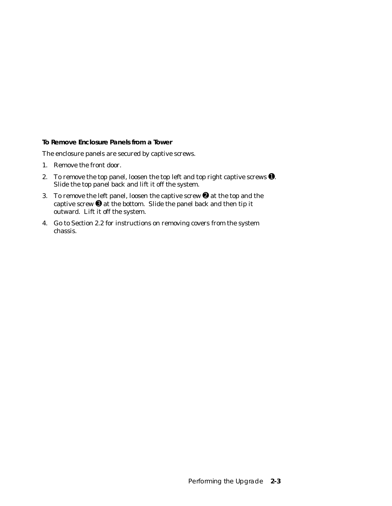**To Remove Enclosure Panels from a Tower**

The enclosure panels are secured by captive screws.

- 1. Remove the front door.
- 2. To remove the top panel, loosen the top left and top right captive screws  $\bullet$ . Slide the top panel back and lift it off the system.
- 3. To remove the left panel, loosen the captive screw  $\Theta$  at the top and the captive screw ➌ at the bottom. Slide the panel back and then tip it outward. Lift it off the system.
- 4. Go to Section 2.2 for instructions on removing covers from the system chassis.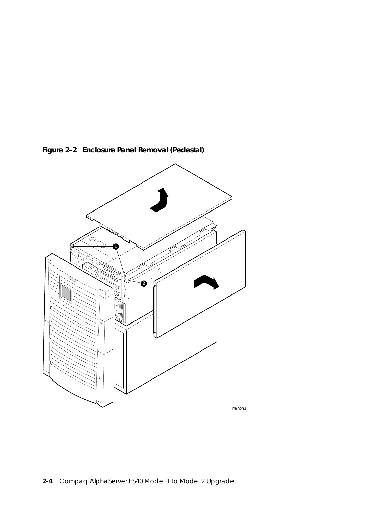

**Figure 2–2 Enclosure Panel Removal (Pedestal)**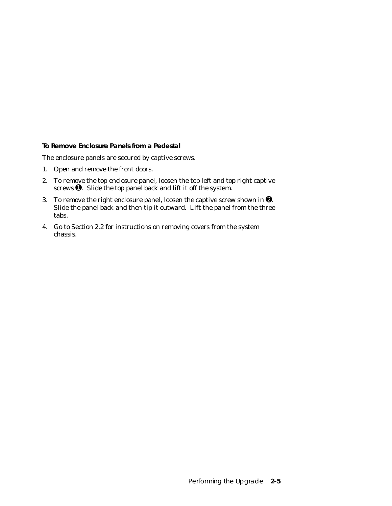**To Remove Enclosure Panels from a Pedestal**

The enclosure panels are secured by captive screws.

- 1. Open and remove the front doors.
- 2. To remove the top enclosure panel, loosen the top left and top right captive screws  $\bullet$ . Slide the top panel back and lift it off the system.
- 3. To remove the right enclosure panel, loosen the captive screw shown in ➋. Slide the panel back and then tip it outward. Lift the panel from the three tabs.
- 4. Go to Section 2.2 for instructions on removing covers from the system chassis.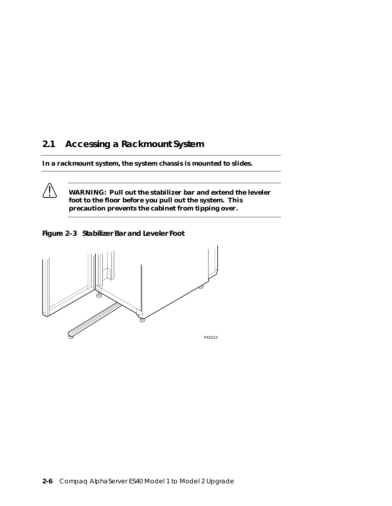## **2.1 Accessing a Rackmount System**

**In a rackmount system, the system chassis is mounted to slides.** 

**WARNING: Pull out the stabilizer bar and extend the leveler foot to the floor before you pull out the system. This precaution prevents the cabinet from tipping over.**

**Figure 2–3 Stabilizer Bar and Leveler Foot**

**/j** 

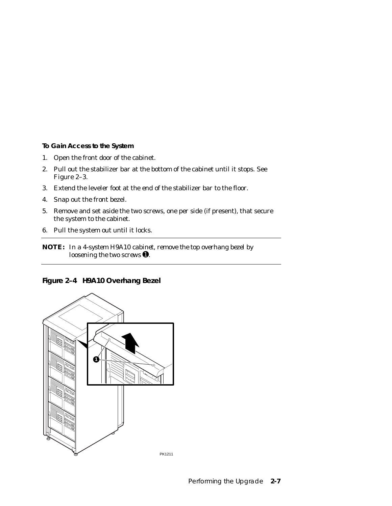**To Gain Access to the System**

- 1. Open the front door of the cabinet.
- 2. Pull out the stabilizer bar at the bottom of the cabinet until it stops. See Figure 2–3.
- 3. Extend the leveler foot at the end of the stabilizer bar to the floor.
- 4. Snap out the front bezel.
- 5. Remove and set aside the two screws, one per side (if present), that secure the system to the cabinet.
- 6. Pull the system out until it locks.

**NOTE:** *In a 4-system H9A10 cabinet, remove the top overhang bezel by loosening the two screws* ➊*.*

### **Figure 2–4 H9A10 Overhang Bezel**

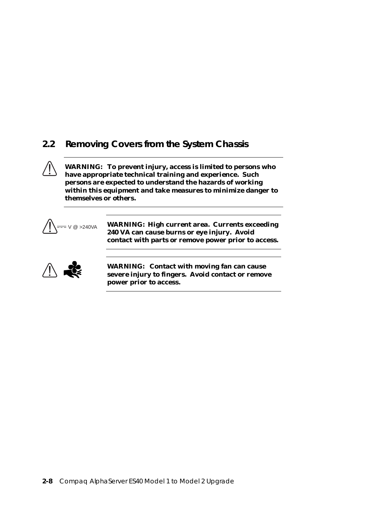## **2.2 Removing Covers from the System Chassis**

**WARNING: To prevent injury, access is limited to persons who have appropriate technical training and experience. Such persons are expected to understand the hazards of working within this equipment and take measures to minimize danger to themselves or others.**



V @ >240VA **WARNING: High current area. Currents exceeding 240 VA can cause burns or eye injury. Avoid contact with parts or remove power prior to access.**



**WARNING: Contact with moving fan can cause severe injury to fingers. Avoid contact or remove power prior to access.**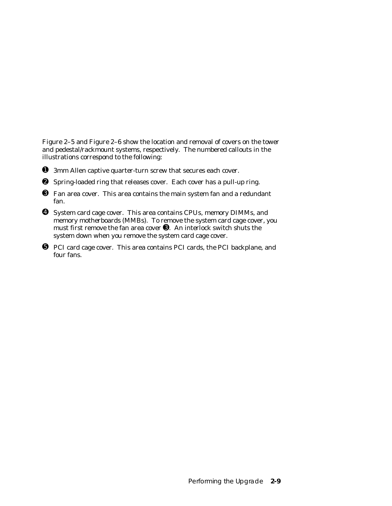Figure 2–5 and Figure 2–6 show the location and removal of covers on the tower and pedestal/rackmount systems, respectively. The numbered callouts in the illustrations correspond to the following:

- ➊ 3mm Allen captive quarter-turn screw that secures each cover.
- ➋ Spring-loaded ring that releases cover. Each cover has a pull-up ring.
- ➌ Fan area cover. This area contains the main system fan and a redundant fan.
- ➍ System card cage cover. This area contains CPUs, memory DIMMs, and memory motherboards (MMBs). To remove the system card cage cover, you must first remove the fan area cover ➌. An interlock switch shuts the system down when you remove the system card cage cover.
- ➎ PCI card cage cover. This area contains PCI cards, the PCI backplane, and four fans.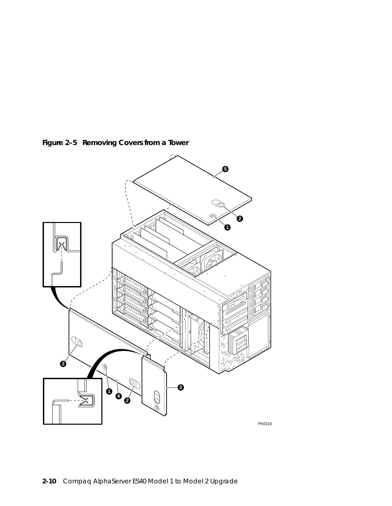

**Figure 2–5 Removing Covers from a Tower**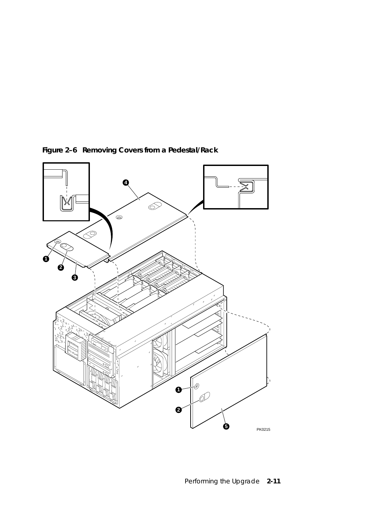

**Figure 2–6 Removing Covers from a Pedestal/Rack**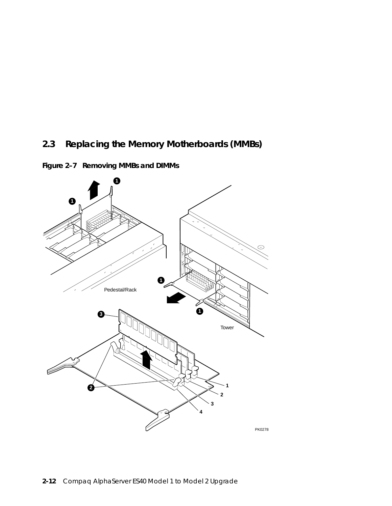# **2.3 Replacing the Memory Motherboards (MMBs)**



**Figure 2–7 Removing MMBs and DIMMs**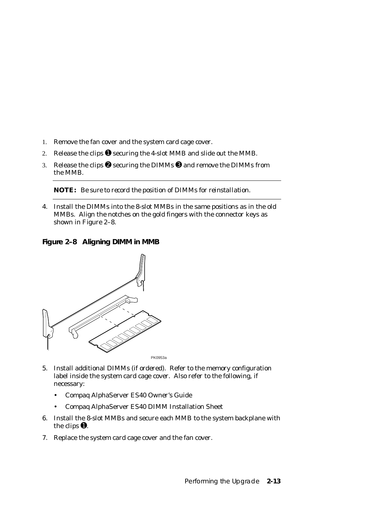- 1. Remove the fan cover and the system card cage cover.
- 2. Release the clips  $\bullet$  securing the 4-slot MMB and slide out the MMB.
- 3. Release the clips  $\bullet$  securing the DIMMs  $\bullet$  and remove the DIMMs from the MMB.

**NOTE:** *Be sure to record the position of DIMMs for reinstallation.*

4. Install the DIMMs into the 8-slot MMBs in the same positions as in the old MMBs. Align the notches on the gold fingers with the connector keys as shown in Figure 2–8.

**Figure 2–8 Aligning DIMM in MMB**



- 5. Install additional DIMMs (if ordered). Refer to the memory configuration label inside the system card cage cover. Also refer to the following, if necessary:
	- Compaq AlphaServer ES40 Owner's Guide
	- Compaq AlphaServer ES40 DIMM Installation Sheet
- 6. Install the 8-slot MMBs and secure each MMB to the system backplane with the clips  $\mathbf{0}$ .
- 7. Replace the system card cage cover and the fan cover.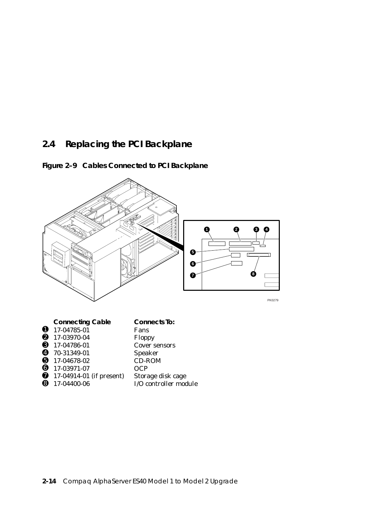## **2.4 Replacing the PCI Backplane**





**O** 17-04914-01 (if present) Storage disk cage<br> **O** 17-04400-06 I/O controller mod I/O controller module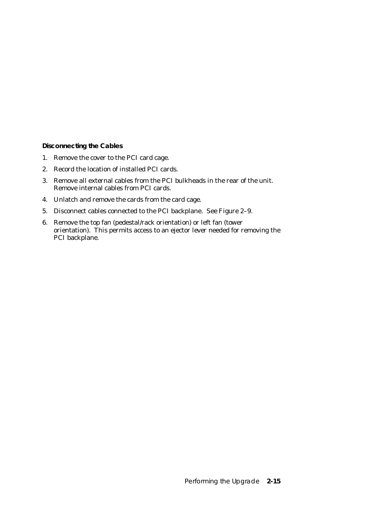**Disconnecting the Cables**

- 1. Remove the cover to the PCI card cage.
- 2. Record the location of installed PCI cards.
- 3. Remove all external cables from the PCI bulkheads in the rear of the unit. Remove internal cables from PCI cards.
- 4. Unlatch and remove the cards from the card cage.
- 5. Disconnect cables connected to the PCI backplane. See Figure 2–9.
- 6. Remove the top fan (pedestal/rack orientation) or left fan (tower orientation). This permits access to an ejector lever needed for removing the PCI backplane.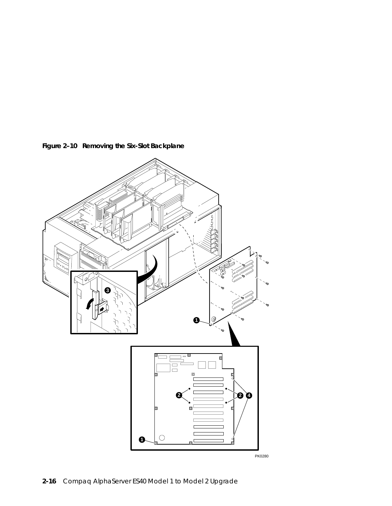

**Figure 2–10 Removing the Six-Slot Backplane**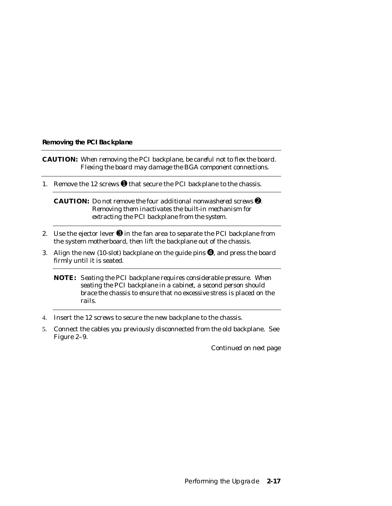### **Removing the PCI Backplane**

**CAUTION:** *When removing the PCI backplane, be careful not to flex the board. Flexing the board may damage the BGA component connections.*

1. Remove the 12 screws  $\bullet$  that secure the PCI backplane to the chassis.

**CAUTION:** *Do not remove the four additional nonwashered screws* ➋*. Removing them inactivates the built-in mechanism for extracting the PCI backplane from the system.*

- 2. Use the ejector lever  $\Theta$  in the fan area to separate the PCI backplane from the system motherboard, then lift the backplane out of the chassis.
- 3. Align the new (10-slot) backplane on the guide pins ➍, and press the board firmly until it is seated.
	- **NOTE:** *Seating the PCI backplane requires considerable pressure. When seating the PCI backplane in a cabinet, a second person should brace the chassis to ensure that no excessive stress is placed on the rails.*
- 4. Insert the 12 screws to secure the new backplane to the chassis.
- 5. Connect the cables you previously disconnected from the old backplane. See Figure 2–9.

*Continued on next page*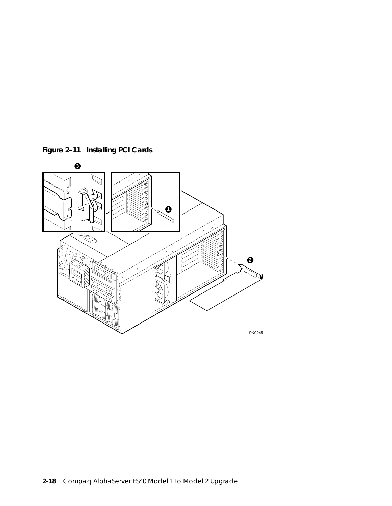

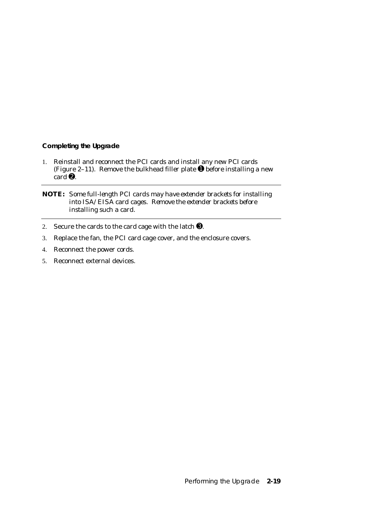## **Completing the Upgrade**

1. Reinstall and reconnect the PCI cards and install any new PCI cards (Figure 2–11). Remove the bulkhead filler plate  $\bullet$  before installing a new  $card$   $\mathbf{\Theta}$ .

**NOTE:** *Some full-length PCI cards may have extender brackets for installing into ISA/EISA card cages. Remove the extender brackets before installing such a card.*

- 2. Secure the cards to the card cage with the latch ➌.
- 3. Replace the fan, the PCI card cage cover, and the enclosure covers.
- 4. Reconnect the power cords.
- 5. Reconnect external devices.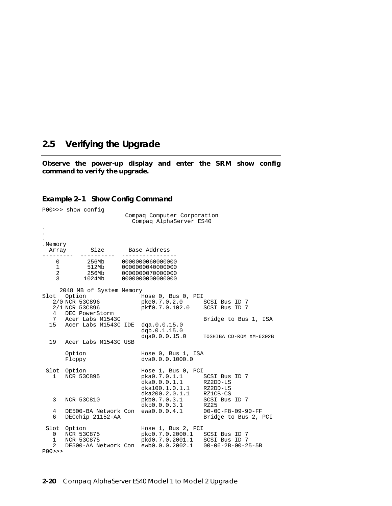## **2.5 Verifying the Upgrade**

**Observe the power-up display and enter the SRM show config command to verify the upgrade.**

#### **Example 2–1 Show Config Command**

P00>>> show config Compaq Computer Corporation Compaq AlphaServer ES40 . . . Memory.<br>Array Array Size Base Address --------- ---------- ---------------- 0 256Mb 0000000060000000 1 512Mb 0000000040000000 2 256Mb 0000000070000000 3 1024Mb 0000000000000000 2048 MB of System Memory Slot Option Mose 0, Bus 0, PCI 2/0 NCR 53C896 pke0.7.0.2.0 SCSI Bus ID 7 pkf0.7.0.102.0 4 DEC PowerStorm<br>7 Acer Labs M1543C Bridge to Bus 1, ISA 15 Acer Labs M1543C IDE dqa.0.0.15.0 dqb.0.1.15.0 dqa0.0.0.15.0 TOSHIBA CD-ROM XM-6302B 19 Acer Labs M1543C USB Option Hose 0, Bus 1, ISA<br>Floppy dva0.0.0.1000.0 dva0.0.0.1000.0 Slot Option Mose 1, Bus 0, PCI 1 NCR 53C895 pka0.7.0.1.1 SCSI Bus ID 7 dka0.0.0.1.1 RZ2DD-LS  $dka100.1.0.1.1$ dka200.2.0.1.1<br>pkb0.7.0.3.1 3 NCR 53C810 b aka100.1.0.1.1 RZ2DD-LS<br>3 NCR 53C810 pkb0.7.0.3.1 SCSI Bus ID 7<br>6 akb0.0.0.3.1 RZ25 dkb0.0.0.3.1 RZ25<br>ewa0.0.0.4.1 00-00-F8-09-90-FF 4 DE500-BA Network Con ewa0.0.0.4.1 00-00-F8-09-90-FF 6 DECchip 21152-AA Slot Option Mose 1, Bus 2, PCI 0 NCR 53C875 pkc0.7.0.2000.1 SCSI Bus ID 7 1 NCR 53C875 pkd0.7.0.2001.1 SCSI Bus ID 7 DE500-AA Network Con ewb0.0.0.2002.1 00-06-2B-00-25-5B P00>>>